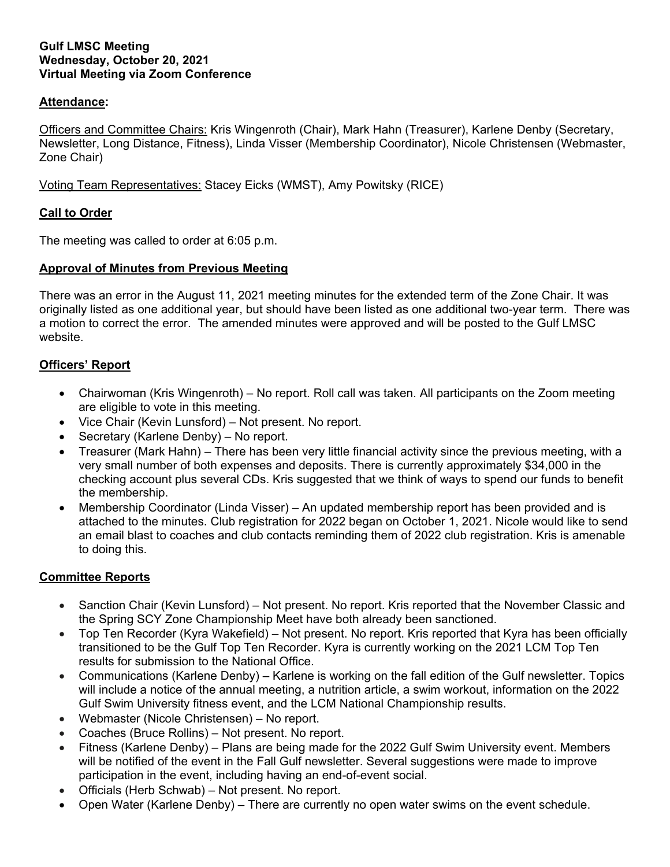#### **Gulf LMSC Meeting Wednesday, October 20, 2021 Virtual Meeting via Zoom Conference**

### **Attendance:**

Officers and Committee Chairs: Kris Wingenroth (Chair), Mark Hahn (Treasurer), Karlene Denby (Secretary, Newsletter, Long Distance, Fitness), Linda Visser (Membership Coordinator), Nicole Christensen (Webmaster, Zone Chair)

Voting Team Representatives: Stacey Eicks (WMST), Amy Powitsky (RICE)

### **Call to Order**

The meeting was called to order at 6:05 p.m.

### **Approval of Minutes from Previous Meeting**

There was an error in the August 11, 2021 meeting minutes for the extended term of the Zone Chair. It was originally listed as one additional year, but should have been listed as one additional two-year term. There was a motion to correct the error. The amended minutes were approved and will be posted to the Gulf LMSC website.

### **Officers' Report**

- Chairwoman (Kris Wingenroth) No report. Roll call was taken. All participants on the Zoom meeting are eligible to vote in this meeting.
- Vice Chair (Kevin Lunsford) Not present. No report.
- Secretary (Karlene Denby) No report.
- Treasurer (Mark Hahn) There has been very little financial activity since the previous meeting, with a very small number of both expenses and deposits. There is currently approximately \$34,000 in the checking account plus several CDs. Kris suggested that we think of ways to spend our funds to benefit the membership.
- Membership Coordinator (Linda Visser) An updated membership report has been provided and is attached to the minutes. Club registration for 2022 began on October 1, 2021. Nicole would like to send an email blast to coaches and club contacts reminding them of 2022 club registration. Kris is amenable to doing this.

# **Committee Reports**

- Sanction Chair (Kevin Lunsford) Not present. No report. Kris reported that the November Classic and the Spring SCY Zone Championship Meet have both already been sanctioned.
- Top Ten Recorder (Kyra Wakefield) Not present. No report. Kris reported that Kyra has been officially transitioned to be the Gulf Top Ten Recorder. Kyra is currently working on the 2021 LCM Top Ten results for submission to the National Office.
- Communications (Karlene Denby) Karlene is working on the fall edition of the Gulf newsletter. Topics will include a notice of the annual meeting, a nutrition article, a swim workout, information on the 2022 Gulf Swim University fitness event, and the LCM National Championship results.
- Webmaster (Nicole Christensen) No report.
- Coaches (Bruce Rollins) Not present. No report.
- Fitness (Karlene Denby) Plans are being made for the 2022 Gulf Swim University event. Members will be notified of the event in the Fall Gulf newsletter. Several suggestions were made to improve participation in the event, including having an end-of-event social.
- Officials (Herb Schwab) Not present. No report.
- Open Water (Karlene Denby) There are currently no open water swims on the event schedule.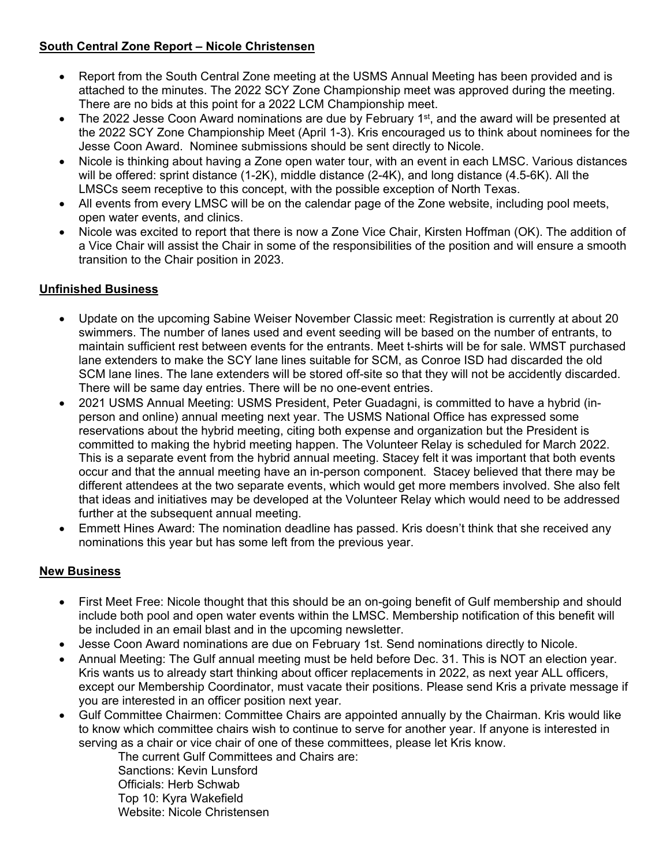# **South Central Zone Report – Nicole Christensen**

- Report from the South Central Zone meeting at the USMS Annual Meeting has been provided and is attached to the minutes. The 2022 SCY Zone Championship meet was approved during the meeting. There are no bids at this point for a 2022 LCM Championship meet.
- The 2022 Jesse Coon Award nominations are due by February 1<sup>st</sup>, and the award will be presented at the 2022 SCY Zone Championship Meet (April 1-3). Kris encouraged us to think about nominees for the Jesse Coon Award. Nominee submissions should be sent directly to Nicole.
- Nicole is thinking about having a Zone open water tour, with an event in each LMSC. Various distances will be offered: sprint distance (1-2K), middle distance (2-4K), and long distance (4.5-6K). All the LMSCs seem receptive to this concept, with the possible exception of North Texas.
- All events from every LMSC will be on the calendar page of the Zone website, including pool meets, open water events, and clinics.
- Nicole was excited to report that there is now a Zone Vice Chair, Kirsten Hoffman (OK). The addition of a Vice Chair will assist the Chair in some of the responsibilities of the position and will ensure a smooth transition to the Chair position in 2023.

# **Unfinished Business**

- Update on the upcoming Sabine Weiser November Classic meet: Registration is currently at about 20 swimmers. The number of lanes used and event seeding will be based on the number of entrants, to maintain sufficient rest between events for the entrants. Meet t-shirts will be for sale. WMST purchased lane extenders to make the SCY lane lines suitable for SCM, as Conroe ISD had discarded the old SCM lane lines. The lane extenders will be stored off-site so that they will not be accidently discarded. There will be same day entries. There will be no one-event entries.
- 2021 USMS Annual Meeting: USMS President, Peter Guadagni, is committed to have a hybrid (inperson and online) annual meeting next year. The USMS National Office has expressed some reservations about the hybrid meeting, citing both expense and organization but the President is committed to making the hybrid meeting happen. The Volunteer Relay is scheduled for March 2022. This is a separate event from the hybrid annual meeting. Stacey felt it was important that both events occur and that the annual meeting have an in-person component. Stacey believed that there may be different attendees at the two separate events, which would get more members involved. She also felt that ideas and initiatives may be developed at the Volunteer Relay which would need to be addressed further at the subsequent annual meeting.
- Emmett Hines Award: The nomination deadline has passed. Kris doesn't think that she received any nominations this year but has some left from the previous year.

# **New Business**

- First Meet Free: Nicole thought that this should be an on-going benefit of Gulf membership and should include both pool and open water events within the LMSC. Membership notification of this benefit will be included in an email blast and in the upcoming newsletter.
- Jesse Coon Award nominations are due on February 1st. Send nominations directly to Nicole.
- Annual Meeting: The Gulf annual meeting must be held before Dec. 31. This is NOT an election year. Kris wants us to already start thinking about officer replacements in 2022, as next year ALL officers, except our Membership Coordinator, must vacate their positions. Please send Kris a private message if you are interested in an officer position next year.
- Gulf Committee Chairmen: Committee Chairs are appointed annually by the Chairman. Kris would like to know which committee chairs wish to continue to serve for another year. If anyone is interested in serving as a chair or vice chair of one of these committees, please let Kris know.

The current Gulf Committees and Chairs are: Sanctions: Kevin Lunsford Officials: Herb Schwab Top 10: Kyra Wakefield Website: Nicole Christensen